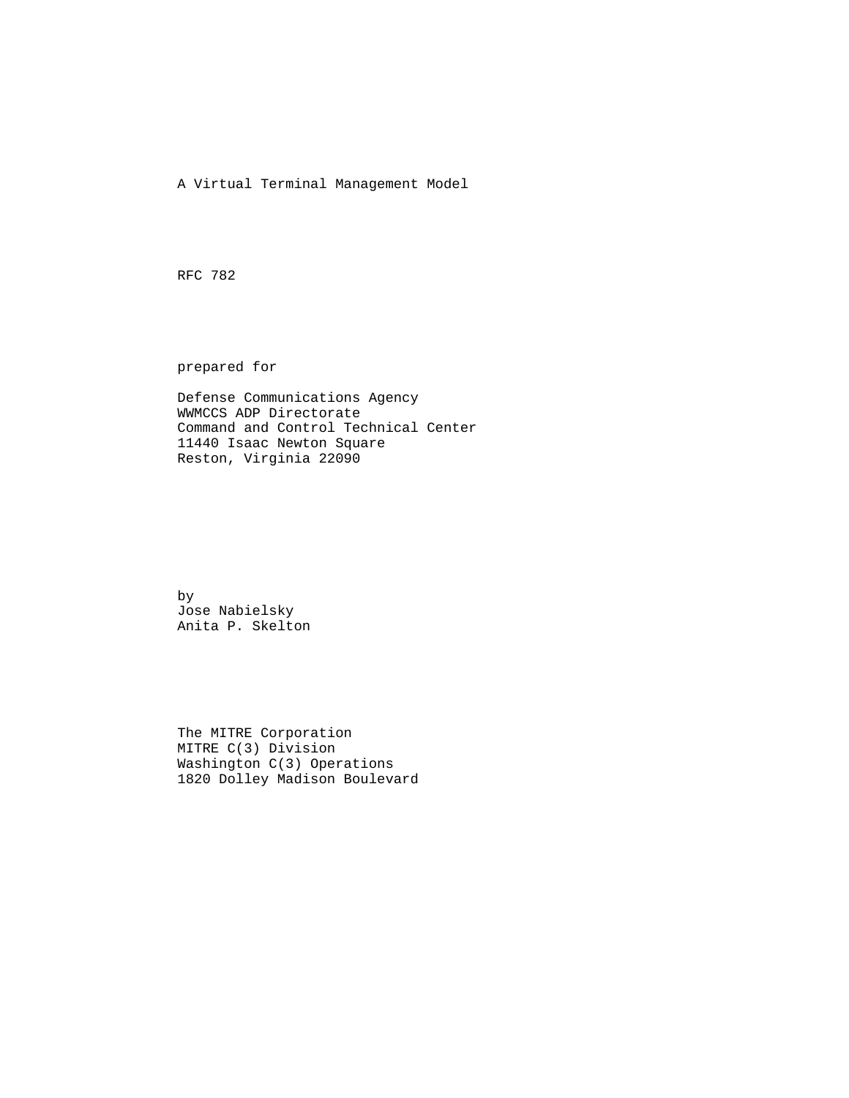A Virtual Terminal Management Model

RFC 782

prepared for

 Defense Communications Agency WWMCCS ADP Directorate Command and Control Technical Center 11440 Isaac Newton Square Reston, Virginia 22090

 by Jose Nabielsky Anita P. Skelton

 The MITRE Corporation MITRE C(3) Division Washington C(3) Operations 1820 Dolley Madison Boulevard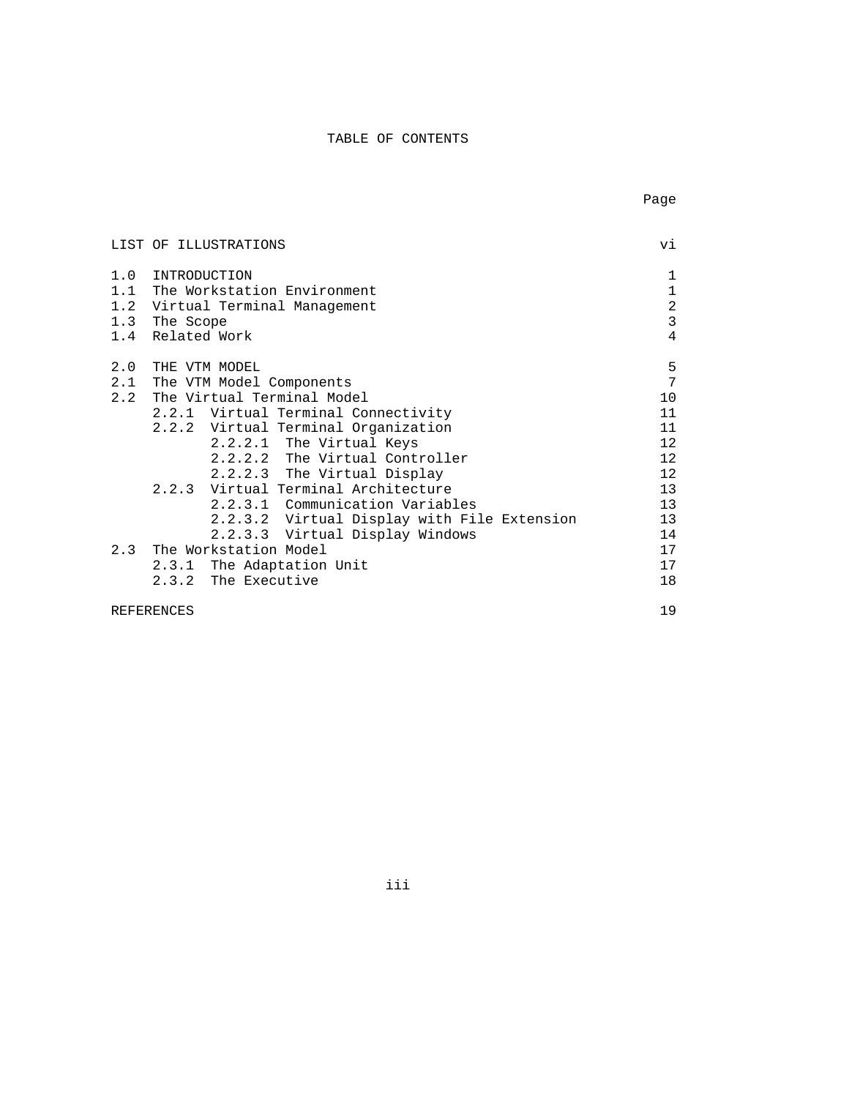## TABLE OF CONTENTS

|                   | LIST OF ILLUSTRATIONS                       | vi             |
|-------------------|---------------------------------------------|----------------|
| 1.0               | INTRODUCTION                                | 1              |
|                   | 1.1 The Workstation Environment             | 1              |
|                   | 1.2 Virtual Terminal Management             | $\sqrt{2}$     |
|                   | 1.3 The Scope                               | $\overline{3}$ |
|                   | 1.4 Related Work                            | $\overline{4}$ |
| 2.0               | THE VTM MODEL                               | 5              |
|                   | 2.1 The VTM Model Components                | 7              |
|                   | 2.2 The Virtual Terminal Model              | 10             |
|                   | 2.2.1 Virtual Terminal Connectivity         | 11             |
|                   | 2.2.2 Virtual Terminal Organization         | 11             |
|                   | 2.2.2.1 The Virtual Keys                    | 12             |
|                   | 2.2.2.2 The Virtual Controller              | 12             |
|                   | 2.2.2.3 The Virtual Display                 | 12             |
|                   | 2.2.3 Virtual Terminal Architecture         | 13             |
|                   | 2.2.3.1 Communication Variables             | 13             |
|                   | 2.2.3.2 Virtual Display with File Extension | 13             |
|                   | 2.2.3.3 Virtual Display Windows             | 14             |
|                   | 2.3 The Workstation Model                   | 17             |
|                   | 2.3.1 The Adaptation Unit                   | 17             |
|                   | 2.3.2 The Executive                         | 18             |
| <b>REFERENCES</b> |                                             |                |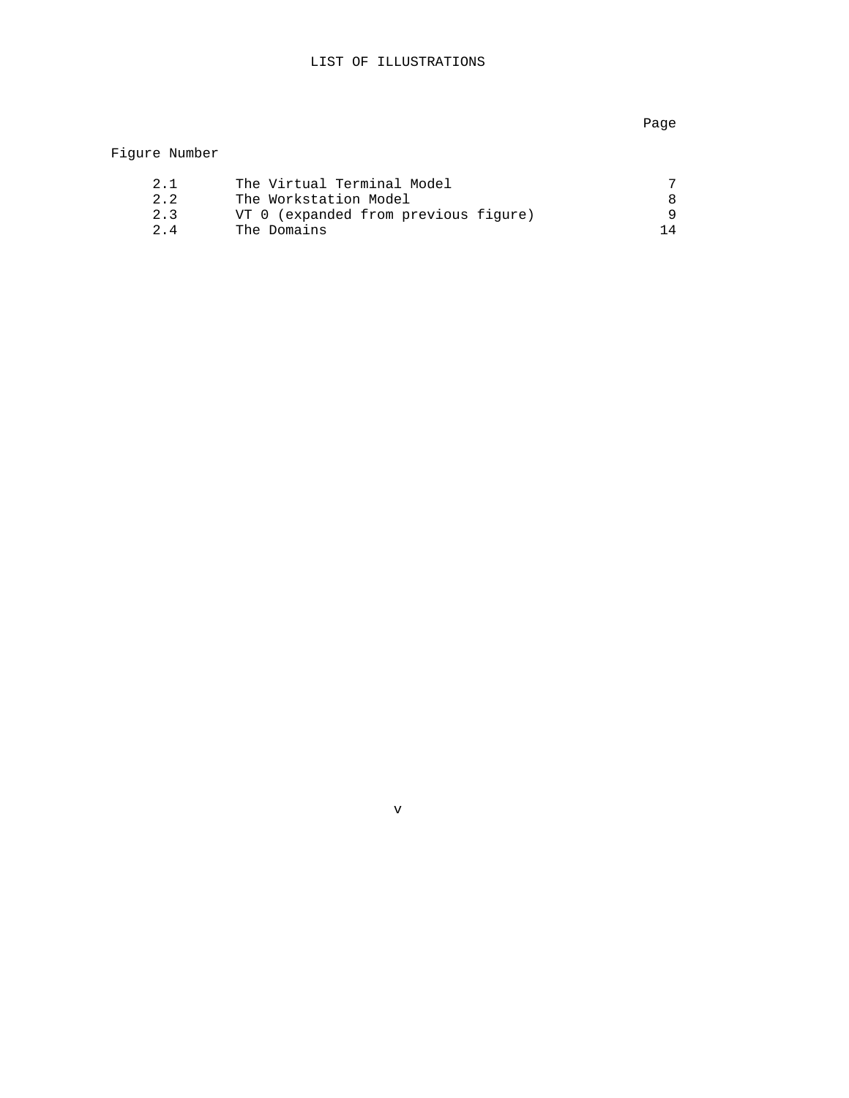### nd a bhainn an chuid ann an t-ainm an chuid ann an t-ainm an chuid ann an t-ainm an chuid ann an t-ainm an chu

# Figure Number

| 2.1 | The Virtual Terminal Model           |    |
|-----|--------------------------------------|----|
| 2.2 | The Workstation Model                |    |
| 2.3 | VT 0 (expanded from previous figure) |    |
| 2.4 | The Domains                          | 14 |

v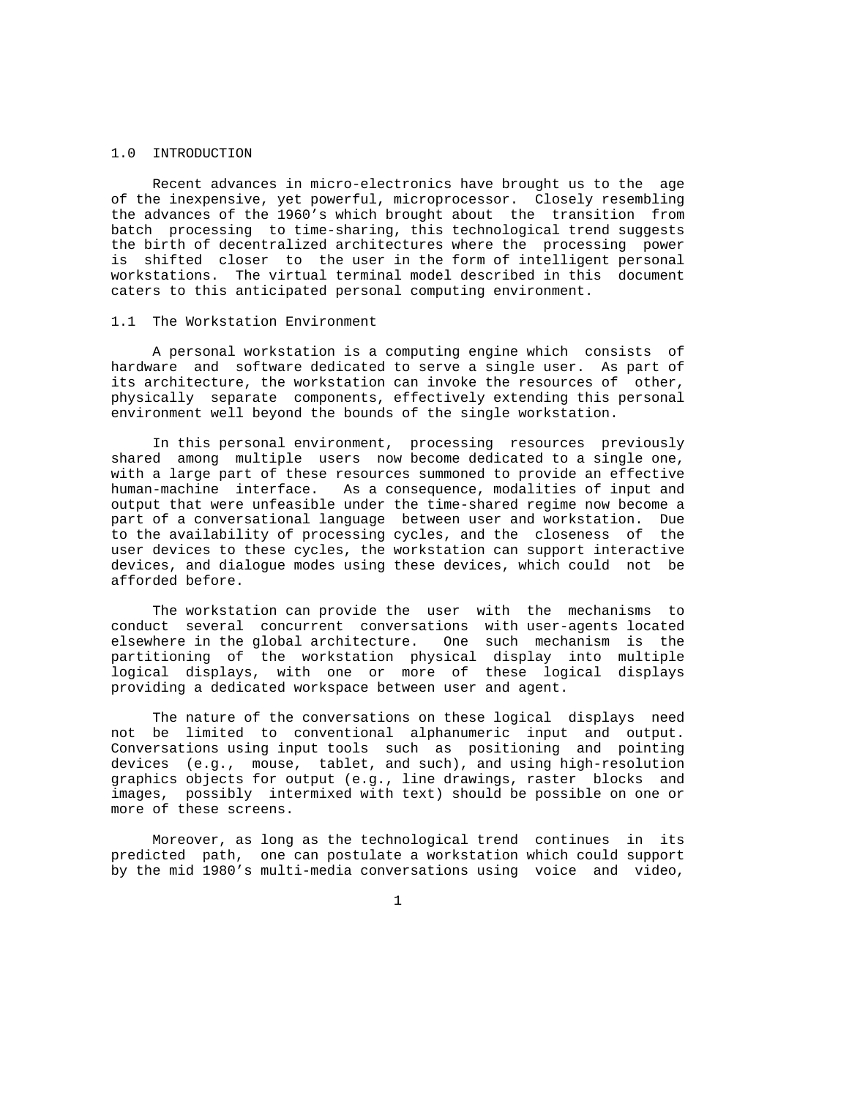#### 1.0 INTRODUCTION

 Recent advances in micro-electronics have brought us to the age of the inexpensive, yet powerful, microprocessor. Closely resembling the advances of the 1960's which brought about the transition from batch processing to time-sharing, this technological trend suggests the birth of decentralized architectures where the processing power is shifted closer to the user in the form of intelligent personal workstations. The virtual terminal model described in this document caters to this anticipated personal computing environment.

#### 1.1 The Workstation Environment

 A personal workstation is a computing engine which consists of hardware and software dedicated to serve a single user. As part of its architecture, the workstation can invoke the resources of other, physically separate components, effectively extending this personal environment well beyond the bounds of the single workstation.

 In this personal environment, processing resources previously shared among multiple users now become dedicated to a single one, with a large part of these resources summoned to provide an effective human-machine interface. As a consequence, modalities of input and output that were unfeasible under the time-shared regime now become a part of a conversational language between user and workstation. Due to the availability of processing cycles, and the closeness of the user devices to these cycles, the workstation can support interactive devices, and dialogue modes using these devices, which could not be afforded before.

 The workstation can provide the user with the mechanisms to conduct several concurrent conversations with user-agents located elsewhere in the global architecture. One such mechanism is the partitioning of the workstation physical display into multiple logical displays, with one or more of these logical displays providing a dedicated workspace between user and agent.

 The nature of the conversations on these logical displays need not be limited to conventional alphanumeric input and output. Conversations using input tools such as positioning and pointing devices (e.g., mouse, tablet, and such), and using high-resolution graphics objects for output (e.g., line drawings, raster blocks and images, possibly intermixed with text) should be possible on one or more of these screens.

 Moreover, as long as the technological trend continues in its predicted path, one can postulate a workstation which could support by the mid 1980's multi-media conversations using voice and video,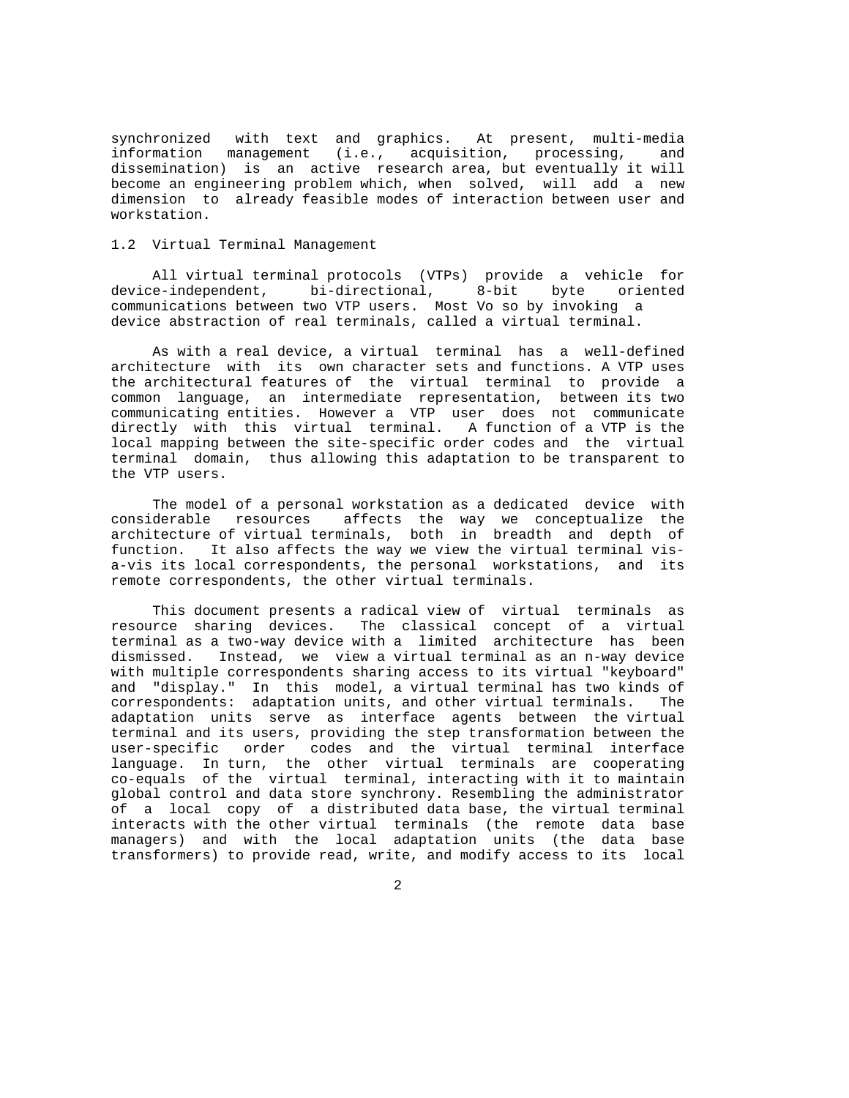synchronized with text and graphics. At present, multi-media information management (i.e., acquisition, processing, and dissemination) is an active research area, but eventually it will become an engineering problem which, when solved, will add a new dimension to already feasible modes of interaction between user and workstation.

### 1.2 Virtual Terminal Management

 All virtual terminal protocols (VTPs) provide a vehicle for device-independent, bi-directional, 8-bit byte oriented communications between two VTP users. Most Vo so by invoking a device abstraction of real terminals, called a virtual terminal.

 As with a real device, a virtual terminal has a well-defined architecture with its own character sets and functions. A VTP uses the architectural features of the virtual terminal to provide a common language, an intermediate representation, between its two communicating entities. However a VTP user does not communicate directly with this virtual terminal. A function of a VTP is the local mapping between the site-specific order codes and the virtual terminal domain, thus allowing this adaptation to be transparent to the VTP users.

 The model of a personal workstation as a dedicated device with considerable resources affects the way we conceptualize the architecture of virtual terminals, both in breadth and depth of function. It also affects the way we view the virtual terminal visa-vis its local correspondents, the personal workstations, and its remote correspondents, the other virtual terminals.

 This document presents a radical view of virtual terminals as resource sharing devices. The classical concept of a virtual terminal as a two-way device with a limited architecture has been dismissed. Instead, we view a virtual terminal as an n-way device with multiple correspondents sharing access to its virtual "keyboard" and "display." In this model, a virtual terminal has two kinds of correspondents: adaptation units, and other virtual terminals. The adaptation units serve as interface agents between the virtual terminal and its users, providing the step transformation between the user-specific order codes and the virtual terminal interface language. In turn, the other virtual terminals are cooperating co-equals of the virtual terminal, interacting with it to maintain global control and data store synchrony. Resembling the administrator of a local copy of a distributed data base, the virtual terminal interacts with the other virtual terminals (the remote data base managers) and with the local adaptation units (the data base transformers) to provide read, write, and modify access to its local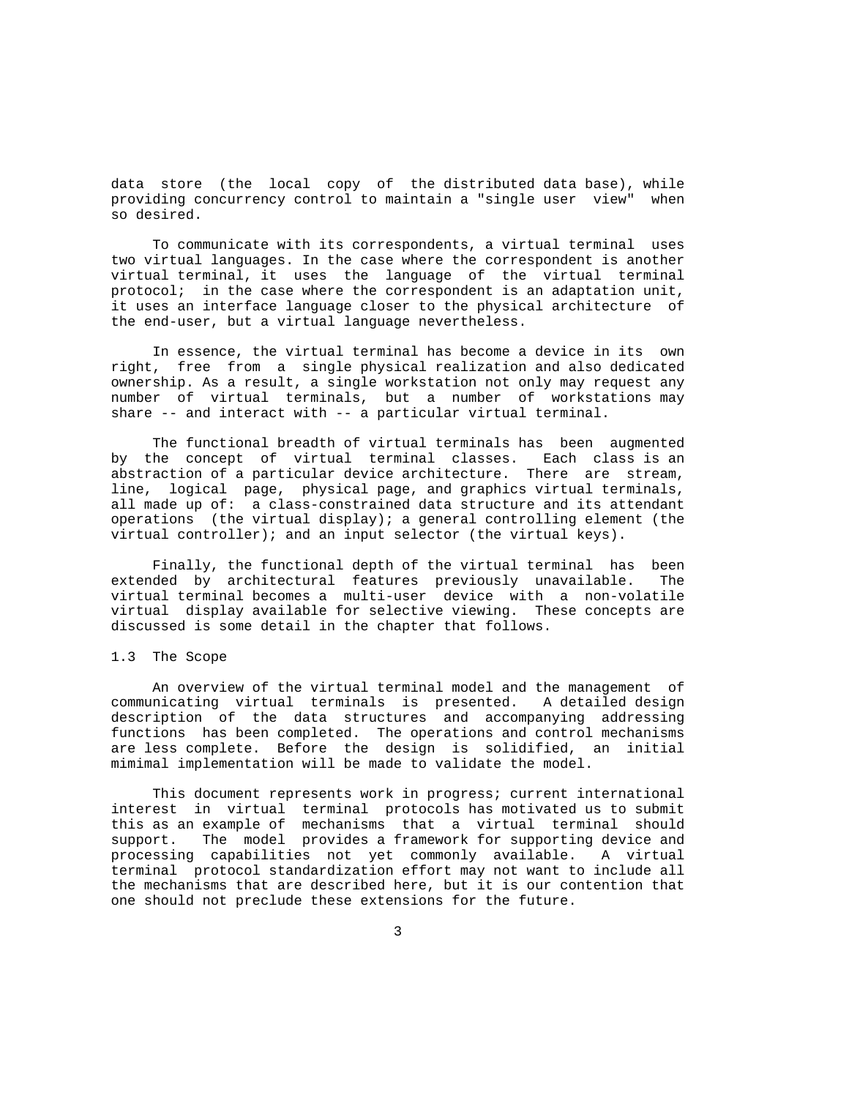data store (the local copy of the distributed data base), while providing concurrency control to maintain a "single user view" when so desired.

 To communicate with its correspondents, a virtual terminal uses two virtual languages. In the case where the correspondent is another virtual terminal, it uses the language of the virtual terminal protocol; in the case where the correspondent is an adaptation unit, it uses an interface language closer to the physical architecture of the end-user, but a virtual language nevertheless.

 In essence, the virtual terminal has become a device in its own right, free from a single physical realization and also dedicated ownership. As a result, a single workstation not only may request any number of virtual terminals, but a number of workstations may share -- and interact with -- a particular virtual terminal.

 The functional breadth of virtual terminals has been augmented by the concept of virtual terminal classes. Each class is an abstraction of a particular device architecture. There are stream, line, logical page, physical page, and graphics virtual terminals, all made up of: a class-constrained data structure and its attendant operations (the virtual display); a general controlling element (the virtual controller); and an input selector (the virtual keys).

 Finally, the functional depth of the virtual terminal has been extended by architectural features previously unavailable. The virtual terminal becomes a multi-user device with a non-volatile virtual display available for selective viewing. These concepts are discussed is some detail in the chapter that follows.

### 1.3 The Scope

 An overview of the virtual terminal model and the management of communicating virtual terminals is presented. A detailed design description of the data structures and accompanying addressing functions has been completed. The operations and control mechanisms are less complete. Before the design is solidified, an initial mimimal implementation will be made to validate the model.

 This document represents work in progress; current international interest in virtual terminal protocols has motivated us to submit this as an example of mechanisms that a virtual terminal should support. The model provides a framework for supporting device and processing capabilities not yet commonly available. A virtual terminal protocol standardization effort may not want to include all the mechanisms that are described here, but it is our contention that one should not preclude these extensions for the future.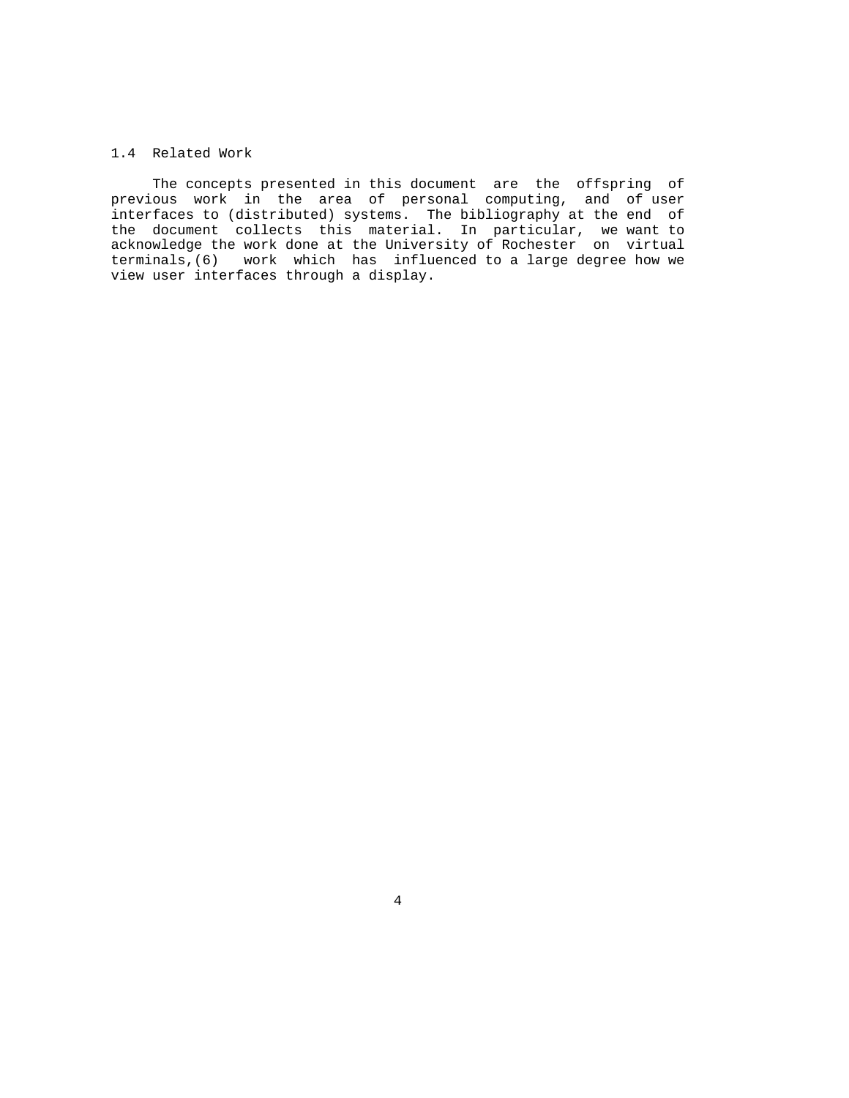## 1.4 Related Work

 The concepts presented in this document are the offspring of previous work in the area of personal computing, and of user interfaces to (distributed) systems. The bibliography at the end of the document collects this material. In particular, we want to acknowledge the work done at the University of Rochester on virtual terminals,(6) work which has influenced to a large degree how we view user interfaces through a display.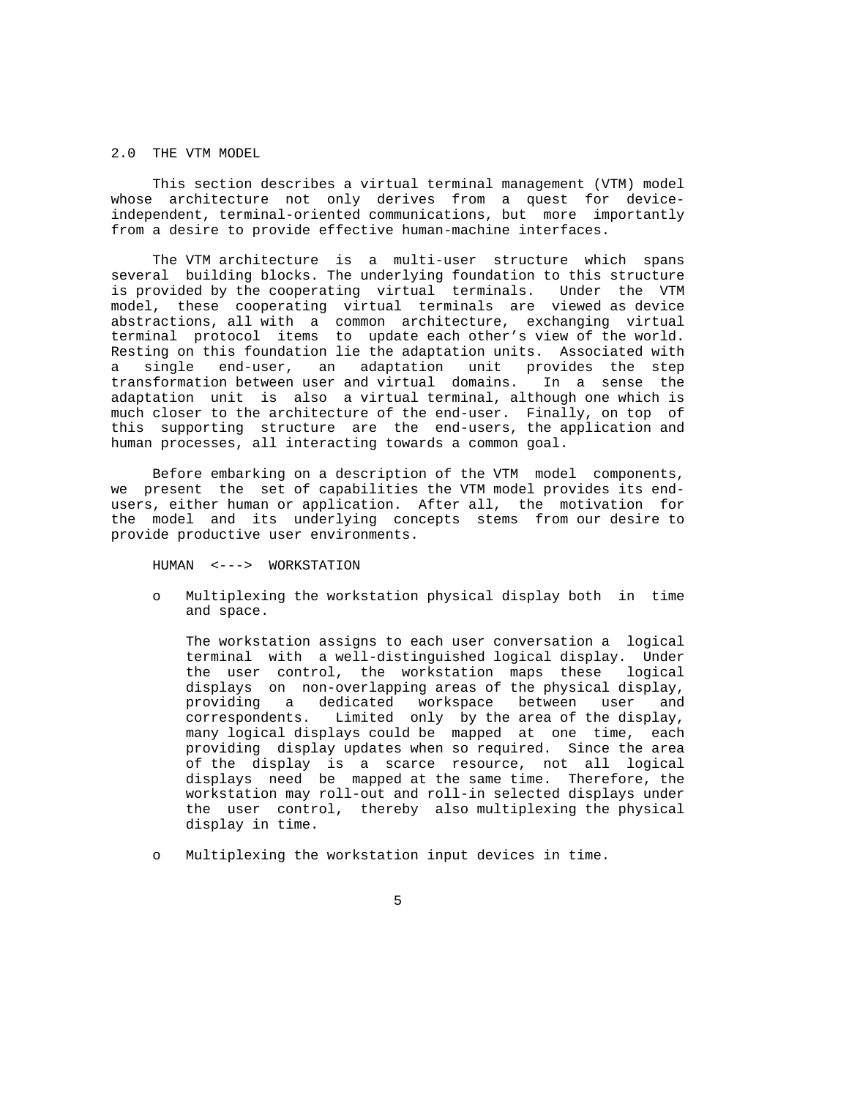#### 2.0 THE VTM MODEL

 This section describes a virtual terminal management (VTM) model whose architecture not only derives from a quest for deviceindependent, terminal-oriented communications, but more importantly from a desire to provide effective human-machine interfaces.

 The VTM architecture is a multi-user structure which spans several building blocks. The underlying foundation to this structure is provided by the cooperating virtual terminals. Under the VTM model, these cooperating virtual terminals are viewed as device abstractions, all with a common architecture, exchanging virtual terminal protocol items to update each other's view of the world. Resting on this foundation lie the adaptation units. Associated with a single end-user, an adaptation unit provides the step transformation between user and virtual domains. In a sense the adaptation unit is also a virtual terminal, although one which is much closer to the architecture of the end-user. Finally, on top of this supporting structure are the end-users, the application and human processes, all interacting towards a common goal.

 Before embarking on a description of the VTM model components, we present the set of capabilities the VTM model provides its endusers, either human or application. After all, the motivation for the model and its underlying concepts stems from our desire to provide productive user environments.

HUMAN <---> WORKSTATION

Multiplexing the workstation physical display both in time and space.

 The workstation assigns to each user conversation a logical terminal with a well-distinguished logical display. Under the user control, the workstation maps these logical displays on non-overlapping areas of the physical display, providing a dedicated workspace between user and correspondents. Limited only by the area of the display, many logical displays could be mapped at one time, each providing display updates when so required. Since the area of the display is a scarce resource, not all logical displays need be mapped at the same time. Therefore, the workstation may roll-out and roll-in selected displays under the user control, thereby also multiplexing the physical display in time.

o Multiplexing the workstation input devices in time.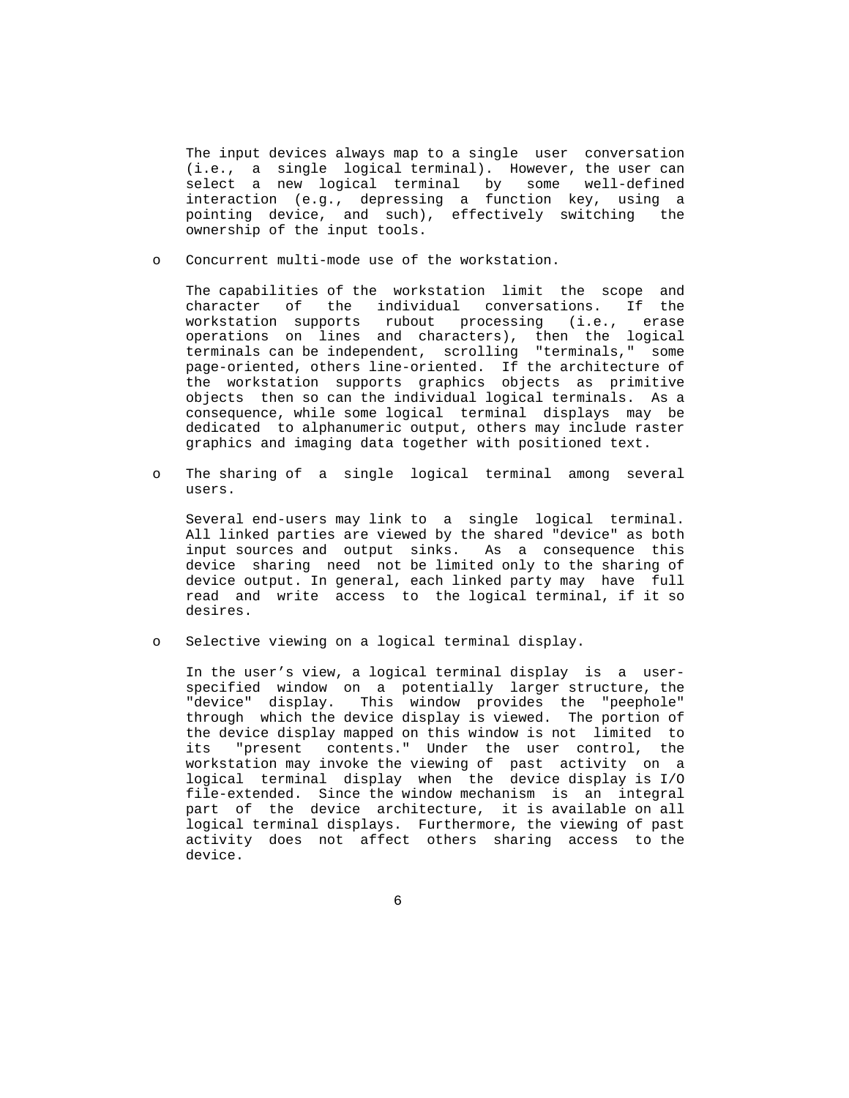The input devices always map to a single user conversation (i.e., a single logical terminal). However, the user can select a new logical terminal by some well-defined interaction (e.g., depressing a function key, using a pointing device, and such), effectively switching the ownership of the input tools.

o Concurrent multi-mode use of the workstation.

 The capabilities of the workstation limit the scope and character of the individual conversations. If the workstation supports rubout processing (i.e., erase operations on lines and characters), then the logical terminals can be independent, scrolling "terminals," some page-oriented, others line-oriented. If the architecture of the workstation supports graphics objects as primitive objects then so can the individual logical terminals. As a consequence, while some logical terminal displays may be dedicated to alphanumeric output, others may include raster graphics and imaging data together with positioned text.

 o The sharing of a single logical terminal among several users.

 Several end-users may link to a single logical terminal. All linked parties are viewed by the shared "device" as both input sources and output sinks. As a consequence this device sharing need not be limited only to the sharing of device output. In general, each linked party may have full read and write access to the logical terminal, if it so desires.

o Selective viewing on a logical terminal display.

 In the user's view, a logical terminal display is a user specified window on a potentially larger structure, the "device" display. This window provides the "peephole" through which the device display is viewed. The portion of the device display mapped on this window is not limited to its "present contents." Under the user control, the workstation may invoke the viewing of past activity on a logical terminal display when the device display is I/O file-extended. Since the window mechanism is an integral part of the device architecture, it is available on all logical terminal displays. Furthermore, the viewing of past activity does not affect others sharing access to the device.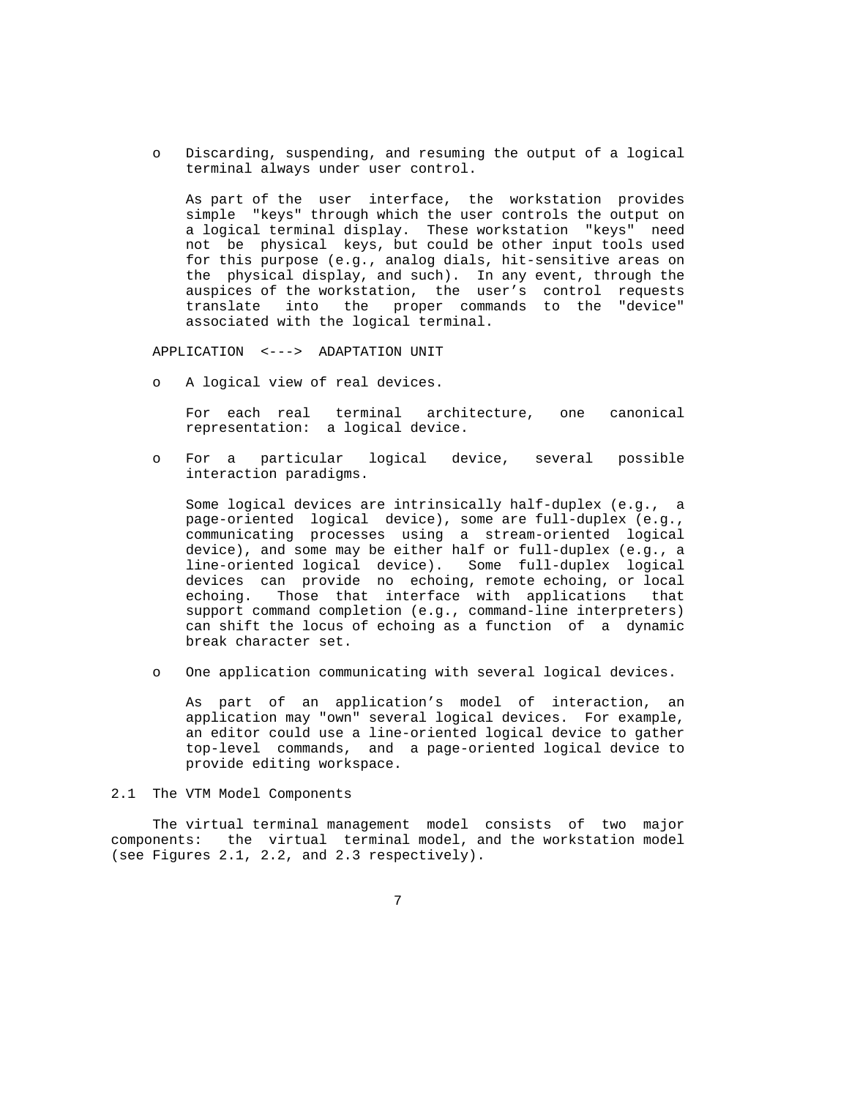o Discarding, suspending, and resuming the output of a logical terminal always under user control.

 As part of the user interface, the workstation provides simple "keys" through which the user controls the output on a logical terminal display. These workstation "keys" need not be physical keys, but could be other input tools used for this purpose (e.g., analog dials, hit-sensitive areas on the physical display, and such). In any event, through the auspices of the workstation, the user's control requests translate into the proper commands to the "device" associated with the logical terminal.

APPLICATION <---> ADAPTATION UNIT

o A logical view of real devices.

 For each real terminal architecture, one canonical representation: a logical device.

 o For a particular logical device, several possible interaction paradigms.

 Some logical devices are intrinsically half-duplex (e.g., a page-oriented logical device), some are full-duplex (e.g., communicating processes using a stream-oriented logical device), and some may be either half or full-duplex (e.g., a line-oriented logical device). Some full-duplex logical devices can provide no echoing, remote echoing, or local echoing. Those that interface with applications that support command completion (e.g., command-line interpreters) can shift the locus of echoing as a function of a dynamic break character set.

o One application communicating with several logical devices.

 As part of an application's model of interaction, an application may "own" several logical devices. For example, an editor could use a line-oriented logical device to gather top-level commands, and a page-oriented logical device to provide editing workspace.

### 2.1 The VTM Model Components

 The virtual terminal management model consists of two major components: the virtual terminal model, and the workstation model (see Figures 2.1, 2.2, and 2.3 respectively).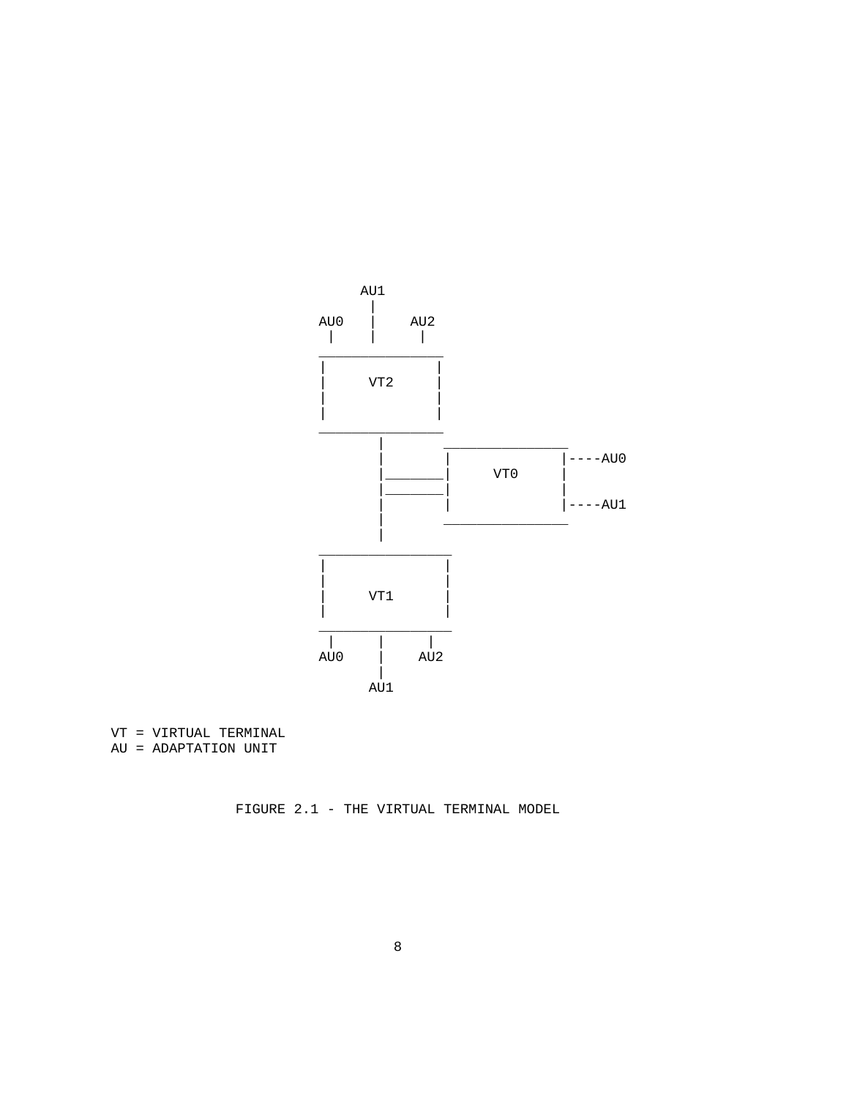

VT = VIRTUAL TERMINAL AU = ADAPTATION UNIT

FIGURE 2.1 - THE VIRTUAL TERMINAL MODEL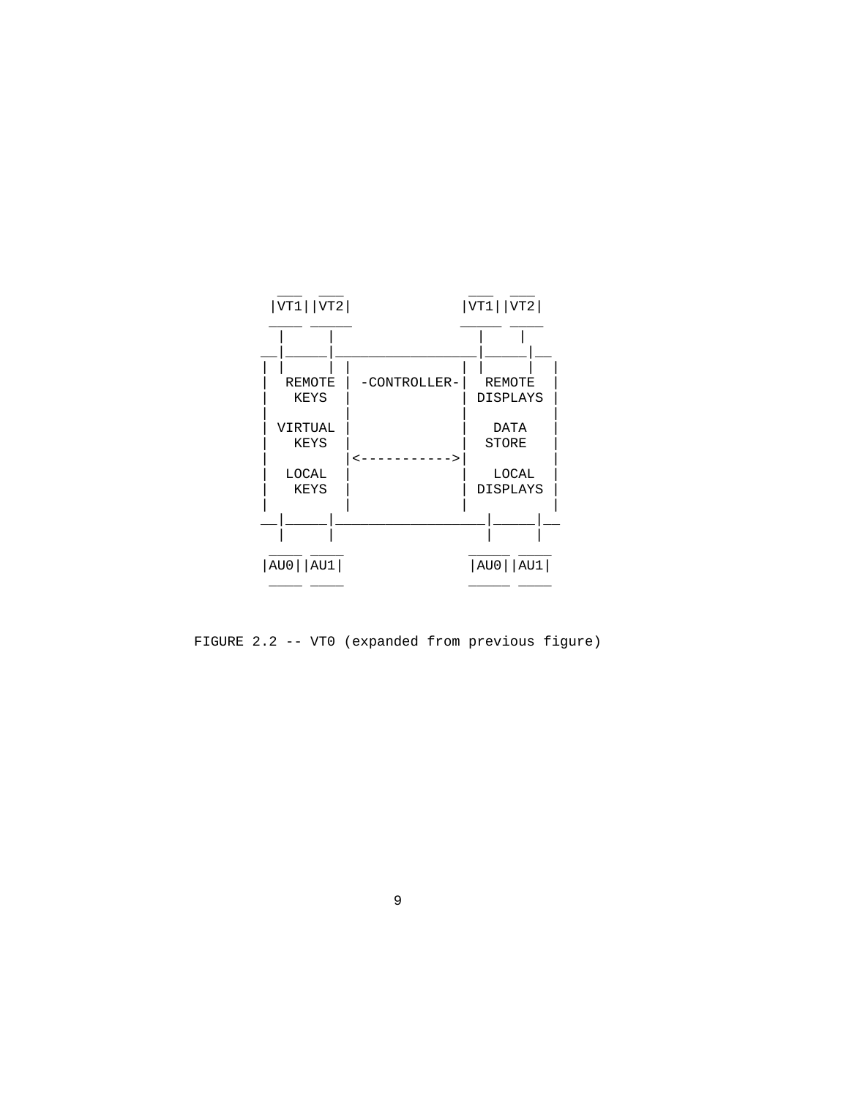

FIGURE 2.2 -- VT0 (expanded from previous figure)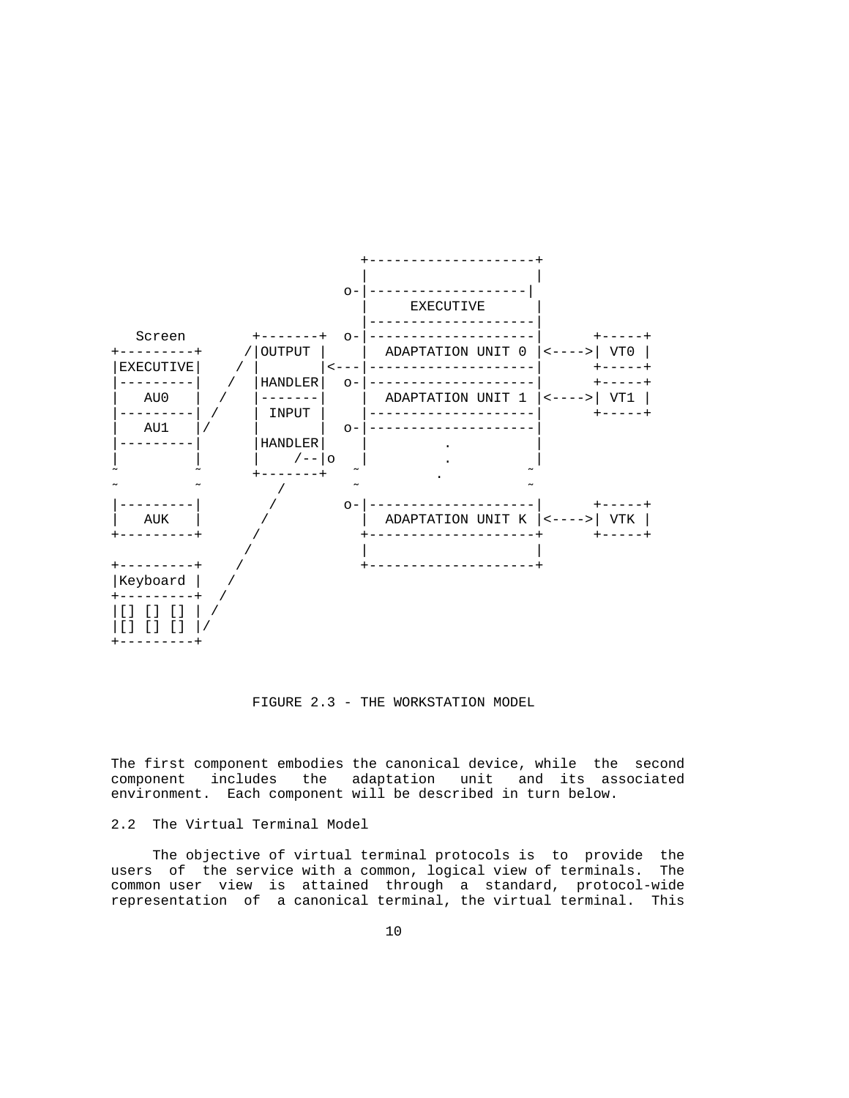

FIGURE 2.3 - THE WORKSTATION MODEL

The first component embodies the canonical device, while the second component includes the adaptation unit and its associated environment. Each component will be described in turn below.

## 2.2 The Virtual Terminal Model

 The objective of virtual terminal protocols is to provide the users of the service with a common, logical view of terminals. The common user view is attained through a standard, protocol-wide representation of a canonical terminal, the virtual terminal. This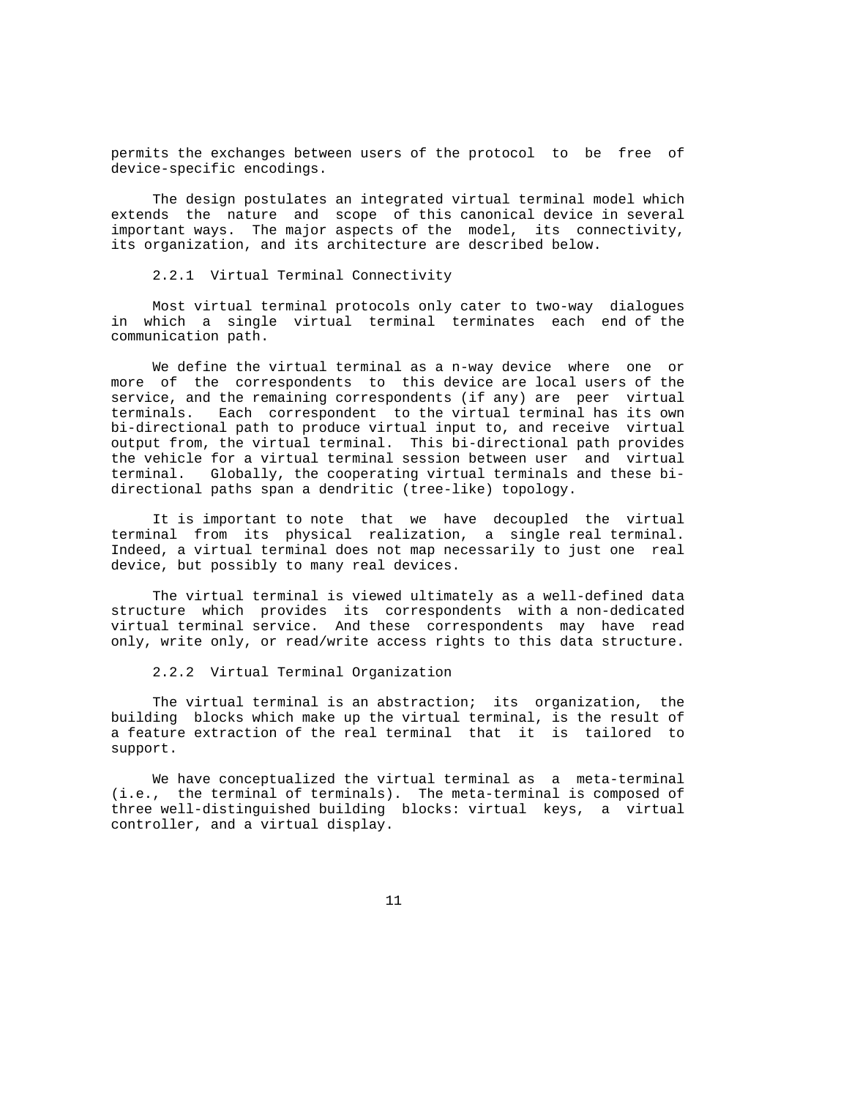permits the exchanges between users of the protocol to be free of device-specific encodings.

 The design postulates an integrated virtual terminal model which extends the nature and scope of this canonical device in several important ways. The major aspects of the model, its connectivity, its organization, and its architecture are described below.

2.2.1 Virtual Terminal Connectivity

 Most virtual terminal protocols only cater to two-way dialogues in which a single virtual terminal terminates each end of the communication path.

 We define the virtual terminal as a n-way device where one or more of the correspondents to this device are local users of the service, and the remaining correspondents (if any) are peer virtual terminals. Each correspondent to the virtual terminal has its own bi-directional path to produce virtual input to, and receive virtual output from, the virtual terminal. This bi-directional path provides the vehicle for a virtual terminal session between user and virtual terminal. Globally, the cooperating virtual terminals and these bidirectional paths span a dendritic (tree-like) topology.

 It is important to note that we have decoupled the virtual terminal from its physical realization, a single real terminal. Indeed, a virtual terminal does not map necessarily to just one real device, but possibly to many real devices.

 The virtual terminal is viewed ultimately as a well-defined data structure which provides its correspondents with a non-dedicated virtual terminal service. And these correspondents may have read only, write only, or read/write access rights to this data structure.

2.2.2 Virtual Terminal Organization

 The virtual terminal is an abstraction; its organization, the building blocks which make up the virtual terminal, is the result of a feature extraction of the real terminal that it is tailored to support.

 We have conceptualized the virtual terminal as a meta-terminal (i.e., the terminal of terminals). The meta-terminal is composed of three well-distinguished building blocks: virtual keys, a virtual controller, and a virtual display.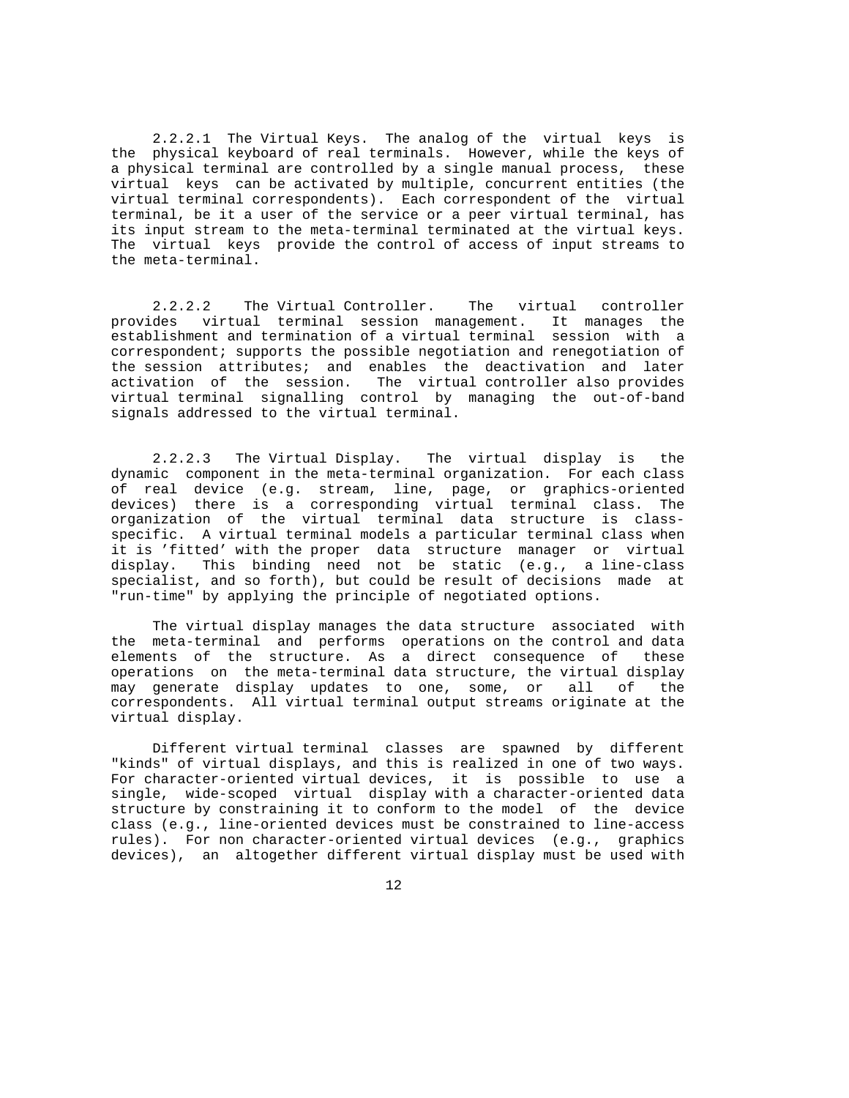2.2.2.1 The Virtual Keys. The analog of the virtual keys is the physical keyboard of real terminals. However, while the keys of a physical terminal are controlled by a single manual process, these virtual keys can be activated by multiple, concurrent entities (the virtual terminal correspondents). Each correspondent of the virtual terminal, be it a user of the service or a peer virtual terminal, has its input stream to the meta-terminal terminated at the virtual keys. The virtual keys provide the control of access of input streams to the meta-terminal.

 2.2.2.2 The Virtual Controller. The virtual controller provides virtual terminal session management. It manages the establishment and termination of a virtual terminal session with a correspondent; supports the possible negotiation and renegotiation of the session attributes; and enables the deactivation and later activation of the session. The virtual controller also provides virtual terminal signalling control by managing the out-of-band signals addressed to the virtual terminal.

 2.2.2.3 The Virtual Display. The virtual display is the dynamic component in the meta-terminal organization. For each class of real device (e.g. stream, line, page, or graphics-oriented devices) there is a corresponding virtual terminal class. The organization of the virtual terminal data structure is classspecific. A virtual terminal models a particular terminal class when it is 'fitted' with the proper data structure manager or virtual display. This binding need not be static (e.g., a line-class specialist, and so forth), but could be result of decisions made at "run-time" by applying the principle of negotiated options.

 The virtual display manages the data structure associated with the meta-terminal and performs operations on the control and data elements of the structure. As a direct consequence of these operations on the meta-terminal data structure, the virtual display may generate display updates to one, some, or all of the correspondents. All virtual terminal output streams originate at the virtual display.

 Different virtual terminal classes are spawned by different "kinds" of virtual displays, and this is realized in one of two ways. For character-oriented virtual devices, it is possible to use a single, wide-scoped virtual display with a character-oriented data structure by constraining it to conform to the model of the device class (e.g., line-oriented devices must be constrained to line-access rules). For non character-oriented virtual devices (e.g., graphics devices), an altogether different virtual display must be used with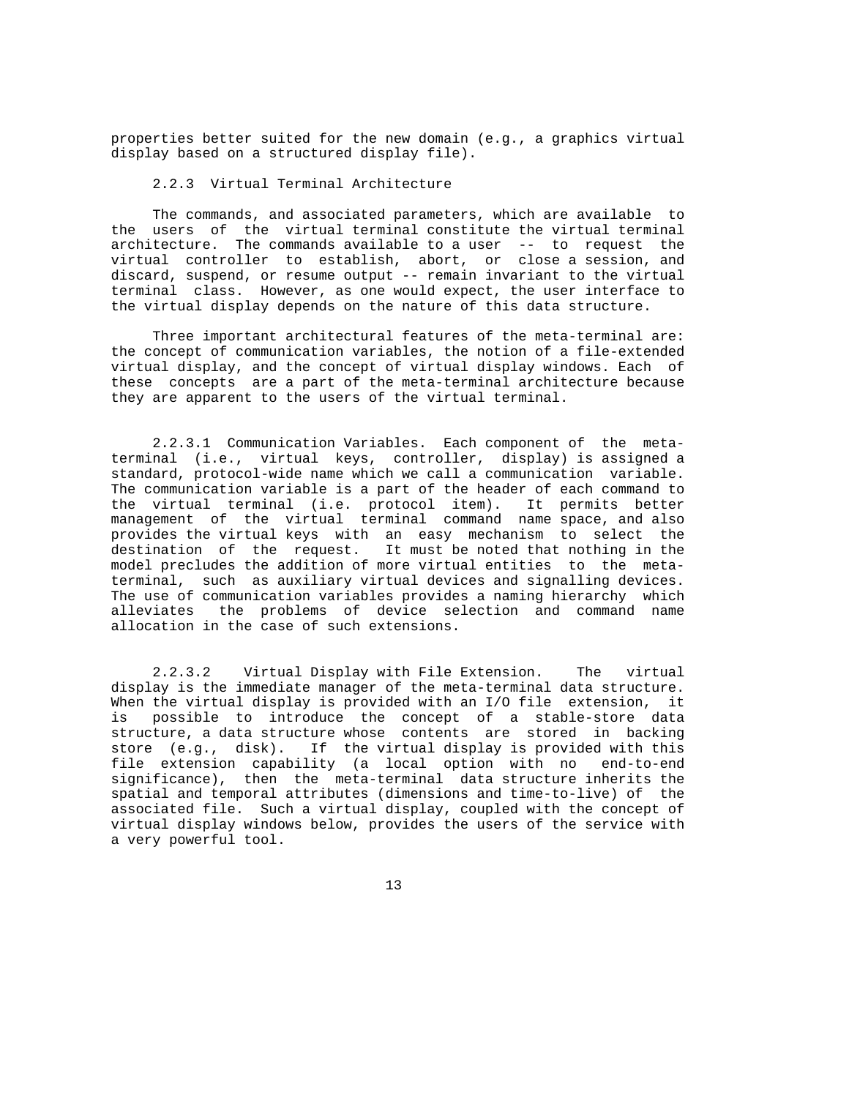properties better suited for the new domain (e.g., a graphics virtual display based on a structured display file).

## 2.2.3 Virtual Terminal Architecture

 The commands, and associated parameters, which are available to the users of the virtual terminal constitute the virtual terminal architecture. The commands available to a user -- to request the virtual controller to establish, abort, or close a session, and discard, suspend, or resume output -- remain invariant to the virtual terminal class. However, as one would expect, the user interface to the virtual display depends on the nature of this data structure.

 Three important architectural features of the meta-terminal are: the concept of communication variables, the notion of a file-extended virtual display, and the concept of virtual display windows. Each of these concepts are a part of the meta-terminal architecture because they are apparent to the users of the virtual terminal.

 2.2.3.1 Communication Variables. Each component of the metaterminal (i.e., virtual keys, controller, display) is assigned a standard, protocol-wide name which we call a communication variable. The communication variable is a part of the header of each command to the virtual terminal (i.e. protocol item). It permits better management of the virtual terminal command name space, and also provides the virtual keys with an easy mechanism to select the destination of the request. It must be noted that nothing in the model precludes the addition of more virtual entities to the metaterminal, such as auxiliary virtual devices and signalling devices. The use of communication variables provides a naming hierarchy which alleviates the problems of device selection and command name allocation in the case of such extensions.

 2.2.3.2 Virtual Display with File Extension. The virtual display is the immediate manager of the meta-terminal data structure. When the virtual display is provided with an I/O file extension, it is possible to introduce the concept of a stable-store data structure, a data structure whose contents are stored in backing store (e.g., disk). If the virtual display is provided with this file extension capability (a local option with no end-to-end significance), then the meta-terminal data structure inherits the spatial and temporal attributes (dimensions and time-to-live) of the associated file. Such a virtual display, coupled with the concept of virtual display windows below, provides the users of the service with a very powerful tool.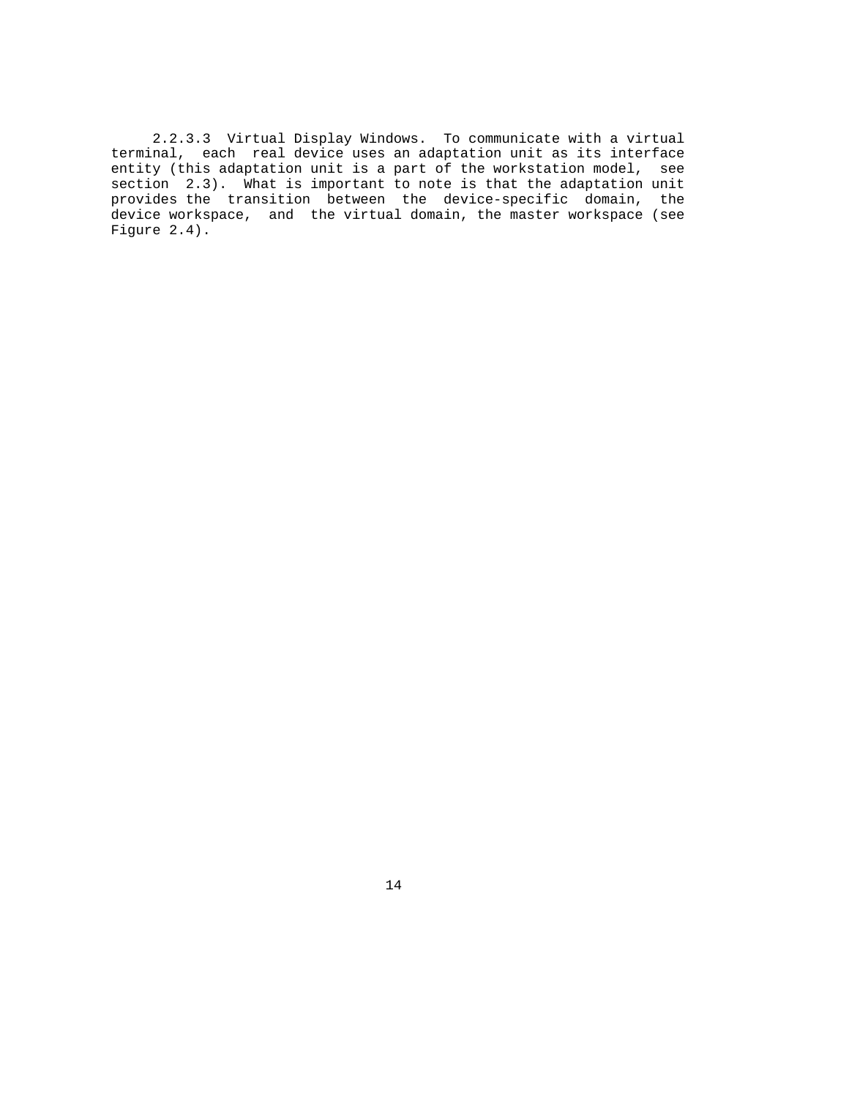2.2.3.3 Virtual Display Windows. To communicate with a virtual terminal, each real device uses an adaptation unit as its interface entity (this adaptation unit is a part of the workstation model, see section 2.3). What is important to note is that the adaptation unit provides the transition between the device-specific domain, the device workspace, and the virtual domain, the master workspace (see Figure 2.4).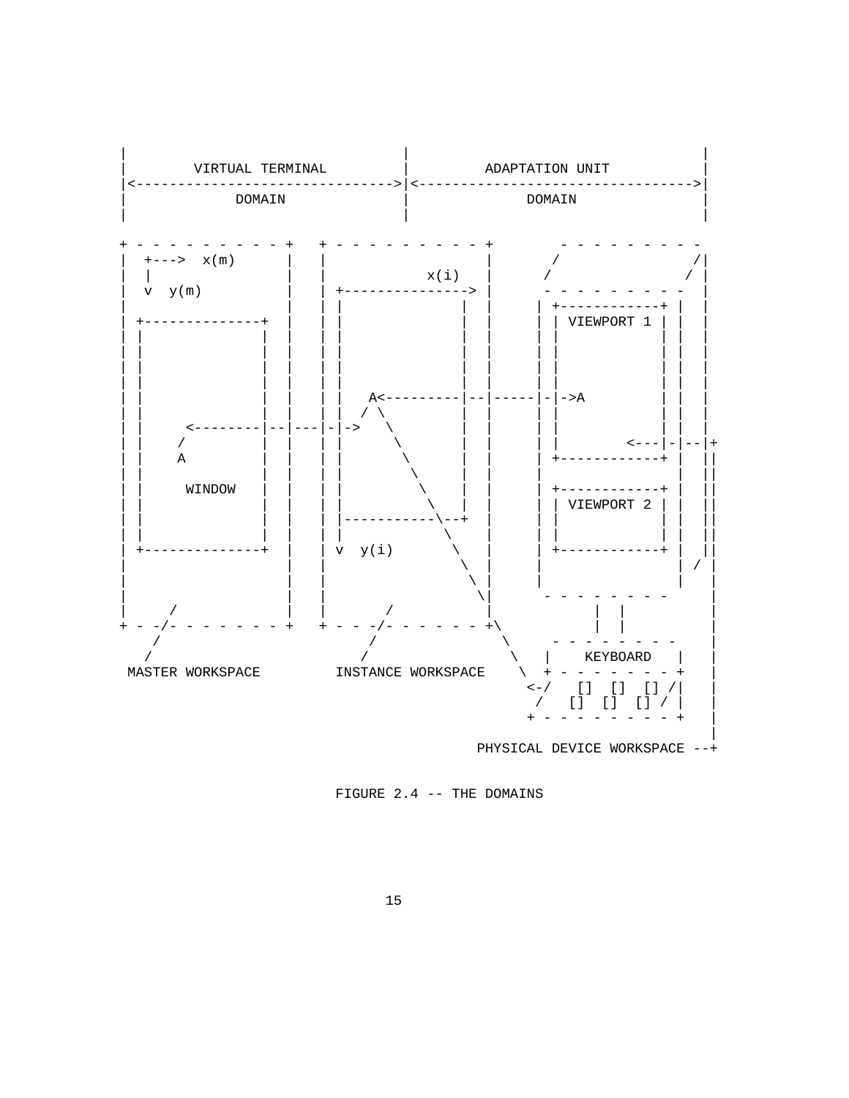

FIGURE 2.4 -- THE DOMAINS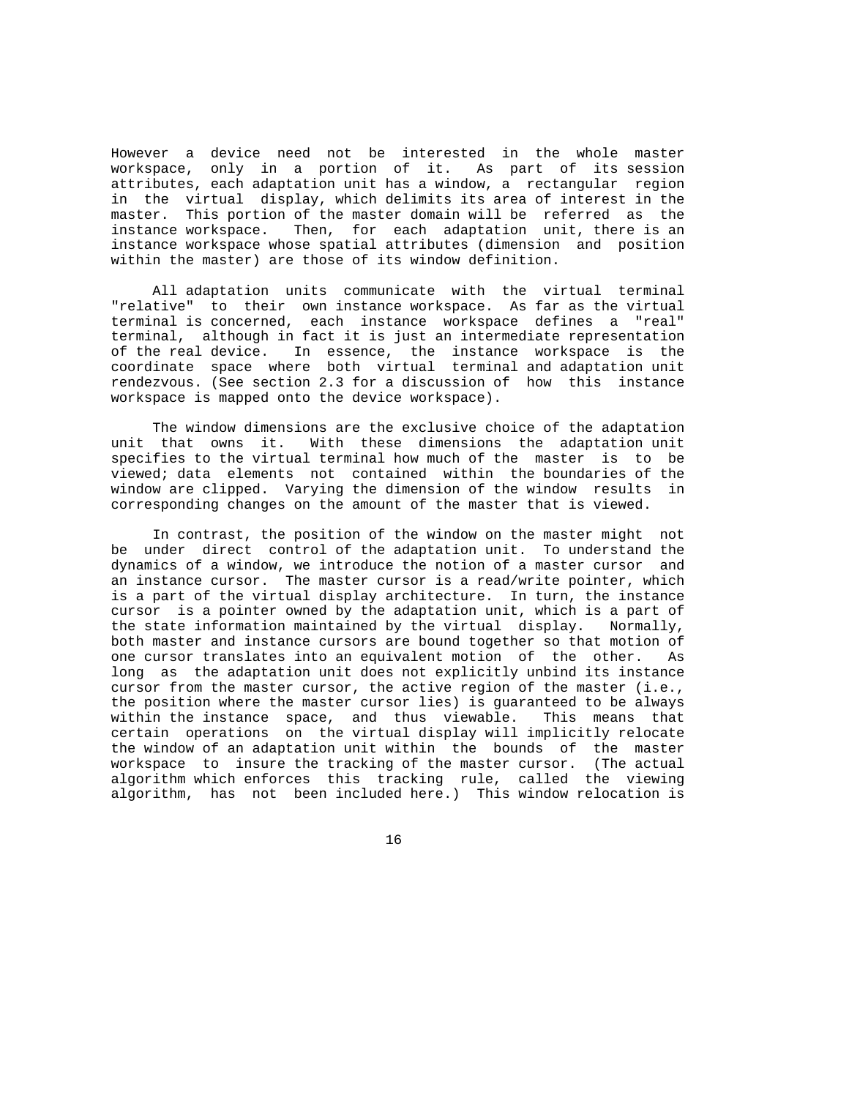However a device need not be interested in the whole master workspace, only in a portion of it. As part of its session attributes, each adaptation unit has a window, a rectangular region in the virtual display, which delimits its area of interest in the master. This portion of the master domain will be referred as the instance workspace. Then, for each adaptation unit, there is an instance workspace whose spatial attributes (dimension and position within the master) are those of its window definition.

 All adaptation units communicate with the virtual terminal "relative" to their own instance workspace. As far as the virtual terminal is concerned, each instance workspace defines a "real" terminal, although in fact it is just an intermediate representation of the real device. In essence, the instance workspace is the coordinate space where both virtual terminal and adaptation unit rendezvous. (See section 2.3 for a discussion of how this instance workspace is mapped onto the device workspace).

 The window dimensions are the exclusive choice of the adaptation unit that owns it. With these dimensions the adaptation unit specifies to the virtual terminal how much of the master is to be viewed; data elements not contained within the boundaries of the window are clipped. Varying the dimension of the window results in corresponding changes on the amount of the master that is viewed.

 In contrast, the position of the window on the master might not be under direct control of the adaptation unit. To understand the dynamics of a window, we introduce the notion of a master cursor and an instance cursor. The master cursor is a read/write pointer, which is a part of the virtual display architecture. In turn, the instance cursor is a pointer owned by the adaptation unit, which is a part of the state information maintained by the virtual display. Normally, both master and instance cursors are bound together so that motion of one cursor translates into an equivalent motion of the other. As long as the adaptation unit does not explicitly unbind its instance cursor from the master cursor, the active region of the master (i.e., the position where the master cursor lies) is guaranteed to be always within the instance space, and thus viewable. This means that certain operations on the virtual display will implicitly relocate the window of an adaptation unit within the bounds of the master workspace to insure the tracking of the master cursor. (The actual algorithm which enforces this tracking rule, called the viewing algorithm, has not been included here.) This window relocation is

16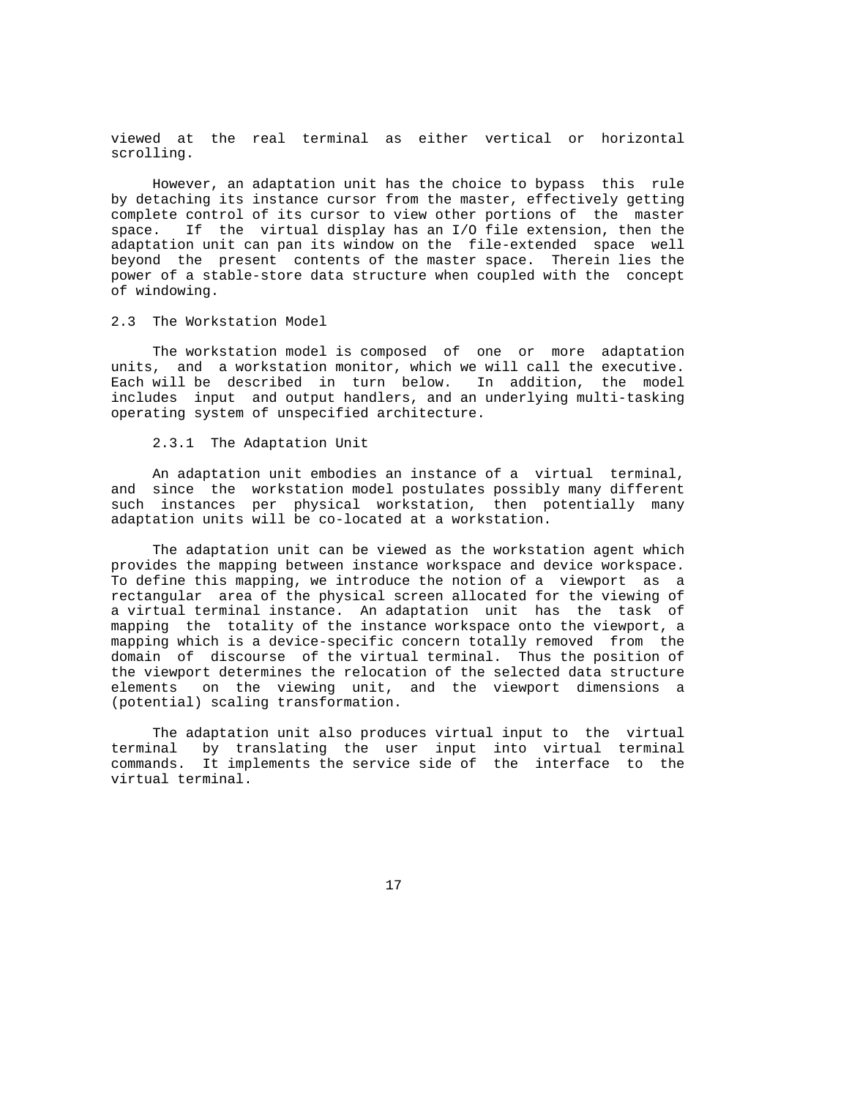viewed at the real terminal as either vertical or horizontal scrolling.

 However, an adaptation unit has the choice to bypass this rule by detaching its instance cursor from the master, effectively getting complete control of its cursor to view other portions of the master space. If the virtual display has an I/O file extension, then the adaptation unit can pan its window on the file-extended space well beyond the present contents of the master space. Therein lies the power of a stable-store data structure when coupled with the concept of windowing.

#### 2.3 The Workstation Model

 The workstation model is composed of one or more adaptation units, and a workstation monitor, which we will call the executive. Each will be described in turn below. In addition, the model includes input and output handlers, and an underlying multi-tasking operating system of unspecified architecture.

#### 2.3.1 The Adaptation Unit

 An adaptation unit embodies an instance of a virtual terminal, and since the workstation model postulates possibly many different such instances per physical workstation, then potentially many adaptation units will be co-located at a workstation.

 The adaptation unit can be viewed as the workstation agent which provides the mapping between instance workspace and device workspace. To define this mapping, we introduce the notion of a viewport as a rectangular area of the physical screen allocated for the viewing of a virtual terminal instance. An adaptation unit has the task of mapping the totality of the instance workspace onto the viewport, a mapping which is a device-specific concern totally removed from the domain of discourse of the virtual terminal. Thus the position of the viewport determines the relocation of the selected data structure elements on the viewing unit, and the viewport dimensions a (potential) scaling transformation.

 The adaptation unit also produces virtual input to the virtual terminal by translating the user input into virtual terminal commands. It implements the service side of the interface to the virtual terminal.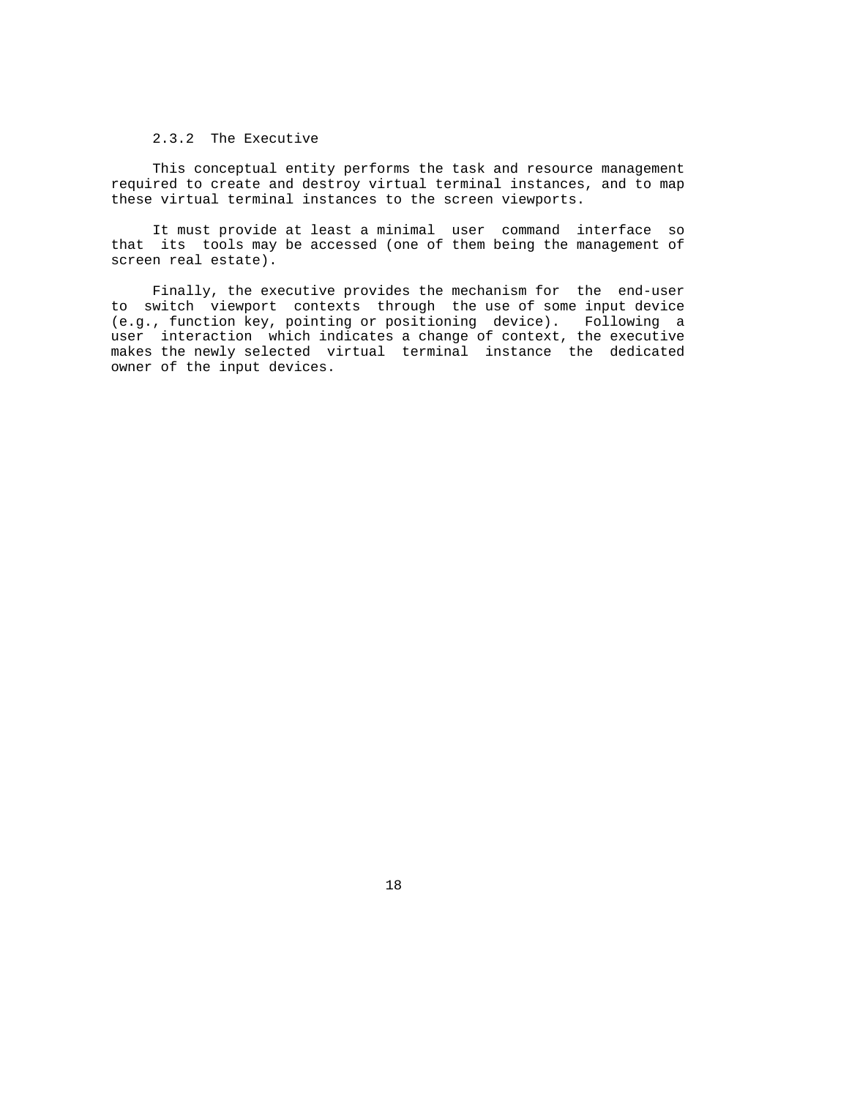## 2.3.2 The Executive

 This conceptual entity performs the task and resource management required to create and destroy virtual terminal instances, and to map these virtual terminal instances to the screen viewports.

 It must provide at least a minimal user command interface so that its tools may be accessed (one of them being the management of screen real estate).

 Finally, the executive provides the mechanism for the end-user to switch viewport contexts through the use of some input device (e.g., function key, pointing or positioning device). Following a user interaction which indicates a change of context, the executive makes the newly selected virtual terminal instance the dedicated owner of the input devices.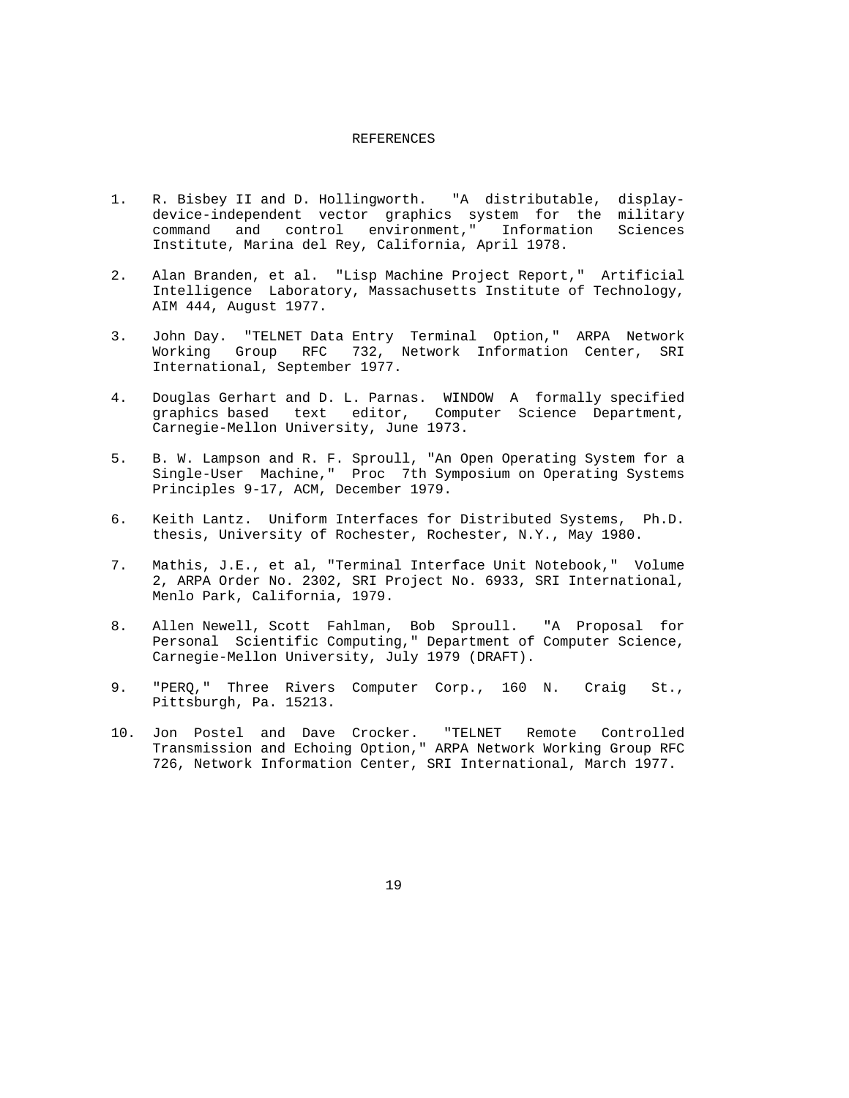#### REFERENCES

- 1. R. Bisbey II and D. Hollingworth. "A distributable, display device-independent vector graphics system for the military command and control environment," Information Sciences Institute, Marina del Rey, California, April 1978.
- 2. Alan Branden, et al. "Lisp Machine Project Report," Artificial Intelligence Laboratory, Massachusetts Institute of Technology, AIM 444, August 1977.
- 3. John Day. "TELNET Data Entry Terminal Option," ARPA Network Working Group RFC 732, Network Information Center, SRI International, September 1977.
- 4. Douglas Gerhart and D. L. Parnas. WINDOW A formally specified graphics based text editor, Computer Science Department, Carnegie-Mellon University, June 1973.
- 5. B. W. Lampson and R. F. Sproull, "An Open Operating System for a Single-User Machine," Proc 7th Symposium on Operating Systems Principles 9-17, ACM, December 1979.
- 6. Keith Lantz. Uniform Interfaces for Distributed Systems, Ph.D. thesis, University of Rochester, Rochester, N.Y., May 1980.
- 7. Mathis, J.E., et al, "Terminal Interface Unit Notebook," Volume 2, ARPA Order No. 2302, SRI Project No. 6933, SRI International, Menlo Park, California, 1979.
- 8. Allen Newell, Scott Fahlman, Bob Sproull. "A Proposal for Personal Scientific Computing," Department of Computer Science, Carnegie-Mellon University, July 1979 (DRAFT).
- 9. "PERQ," Three Rivers Computer Corp., 160 N. Craig St., Pittsburgh, Pa. 15213.
- 10. Jon Postel and Dave Crocker. "TELNET Remote Controlled Transmission and Echoing Option," ARPA Network Working Group RFC 726, Network Information Center, SRI International, March 1977.